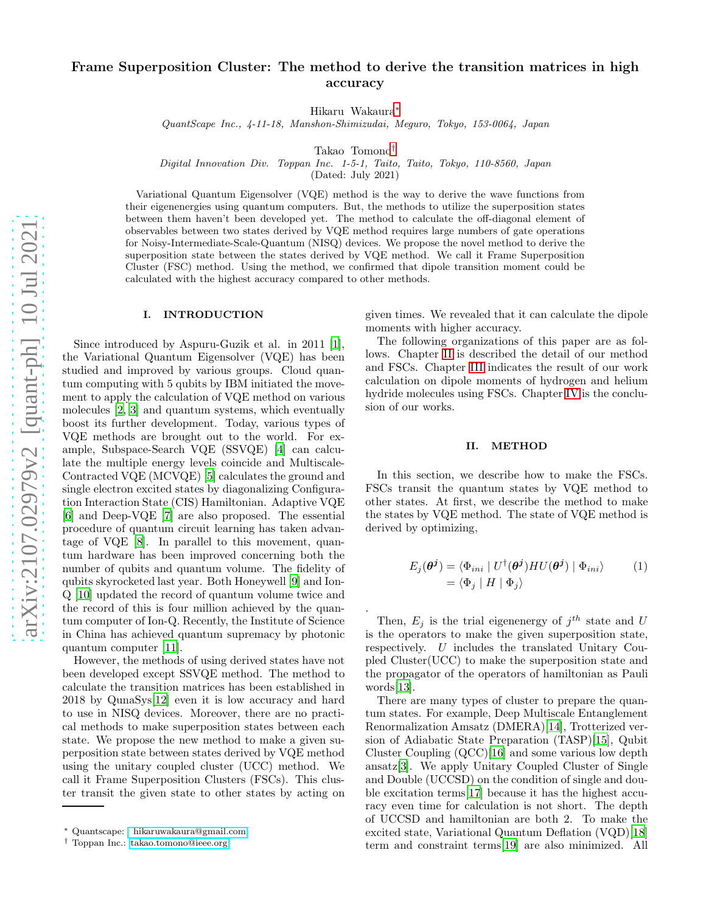# Frame Superposition Cluster: The method to derive the transition matrices in high accuracy

Hikaru Wakaura[∗](#page-0-0)

QuantScape Inc., 4-11-18, Manshon-Shimizudai, Meguro, Tokyo, 153-0064, Japan

Takao Tomono[†](#page-0-1)

Digital Innovation Div. Toppan Inc. 1-5-1, Taito, Taito, Tokyo, 110-8560, Japan

(Dated: July 2021)

Variational Quantum Eigensolver (VQE) method is the way to derive the wave functions from their eigenenergies using quantum computers. But, the methods to utilize the superposition states between them haven't been developed yet. The method to calculate the off-diagonal element of observables between two states derived by VQE method requires large numbers of gate operations for Noisy-Intermediate-Scale-Quantum (NISQ) devices. We propose the novel method to derive the superposition state between the states derived by VQE method. We call it Frame Superposition Cluster (FSC) method. Using the method, we confirmed that dipole transition moment could be calculated with the highest accuracy compared to other methods.

.

# I. INTRODUCTION

Since introduced by Aspuru-Guzik et al. in 2011 [1], the Variational Quantum Eigensolver (VQE) has been studied and improved by various groups. Cloud quantum computing with 5 qubits by IBM initiated the movement to apply the calculation of VQE method on various molecules [\[2,](#page-2-0) [3](#page-2-1)] and quantum systems, which eventually boost its further development. Today, various types of VQE methods are brought out to the world. For example, Subspace-Search VQE (SSVQE) [\[4\]](#page-2-2) can calculate the multiple energy levels coincide and Multiscale-Contracted VQE (MCVQE) [\[5\]](#page-2-3) calculates the ground and single electron excited states by diagonalizing Configuration Interaction State (CIS) Hamiltonian. Adaptive VQE [\[6\]](#page-2-4) and Deep-VQE [\[7\]](#page-2-5) are also proposed. The essential procedure of quantum circuit learning has taken advantage of VQE [\[8\]](#page-2-6). In parallel to this movement, quantum hardware has been improved concerning both the number of qubits and quantum volume. The fidelity of qubits skyrocketed last year. Both Honeywell [\[9](#page-2-7)] and Ion-Q [\[10\]](#page-2-8) updated the record of quantum volume twice and the record of this is four million achieved by the quantum computer of Ion-Q. Recently, the Institute of Science in China has achieved quantum supremacy by photonic quantum computer [\[11](#page-2-9)].

However, the methods of using derived states have not been developed except SSVQE method. The method to calculate the transition matrices has been established in 2018 by QunaSys[\[12\]](#page-2-10) even it is low accuracy and hard to use in NISQ devices. Moreover, there are no practical methods to make superposition states between each state. We propose the new method to make a given superposition state between states derived by VQE method using the unitary coupled cluster (UCC) method. We call it Frame Superposition Clusters (FSCs). This cluster transit the given state to other states by acting on

given times. We revealed that it can calculate the dipole moments with higher accuracy.

The following organizations of this paper are as follows. Chapter [II](#page-0-2) is described the detail of our method and FSCs. Chapter [III](#page-1-0) indicates the result of our work calculation on dipole moments of hydrogen and helium hydride molecules using FSCs. Chapter [IV](#page-1-1) is the conclusion of our works.

#### <span id="page-0-2"></span>II. METHOD

In this section, we describe how to make the FSCs. FSCs transit the quantum states by VQE method to other states. At first, we describe the method to make the states by VQE method. The state of VQE method is derived by optimizing,

$$
E_j(\boldsymbol{\theta}^j) = \langle \Phi_{ini} | U^{\dagger}(\boldsymbol{\theta}^j) H U(\boldsymbol{\theta}^j) | \Phi_{ini} \rangle \qquad (1)
$$

$$
= \langle \Phi_j | H | \Phi_j \rangle
$$

Then,  $E_j$  is the trial eigenenergy of  $j^{th}$  state and U is the operators to make the given superposition state, respectively. U includes the translated Unitary Coupled Cluster(UCC) to make the superposition state and the propagator of the operators of hamiltonian as Pauli words[13].

There are many types of cluster to prepare the quantum states. For example, Deep Multiscale Entanglement Renormalization Amsatz (DMERA)[\[14\]](#page-2-11), Trotterized version of Adiabatic State Preparation (TASP)[\[15\]](#page-2-12), Qubit Cluster Coupling (QCC)[\[16\]](#page-2-13) and some various low depth ansatz[\[3\]](#page-2-1). We apply Unitary Coupled Cluster of Single and Double (UCCSD) on the condition of single and double excitation terms[\[17\]](#page-2-14) because it has the highest accuracy even time for calculation is not short. The depth of UCCSD and hamiltonian are both 2. To make the excited state, Variational Quantum Deflation (VQD)[\[18](#page-2-15)] term and constraint terms[19] are also minimized. All

<span id="page-0-0"></span><sup>∗</sup> Quantscape: [hikaruwakaura@gmail.com](mailto: hikaruwakaura@gmail.com)

<span id="page-0-1"></span><sup>†</sup> Toppan Inc.: [takao.tomono@ieee.org](mailto:takao.tomono@ieee.org)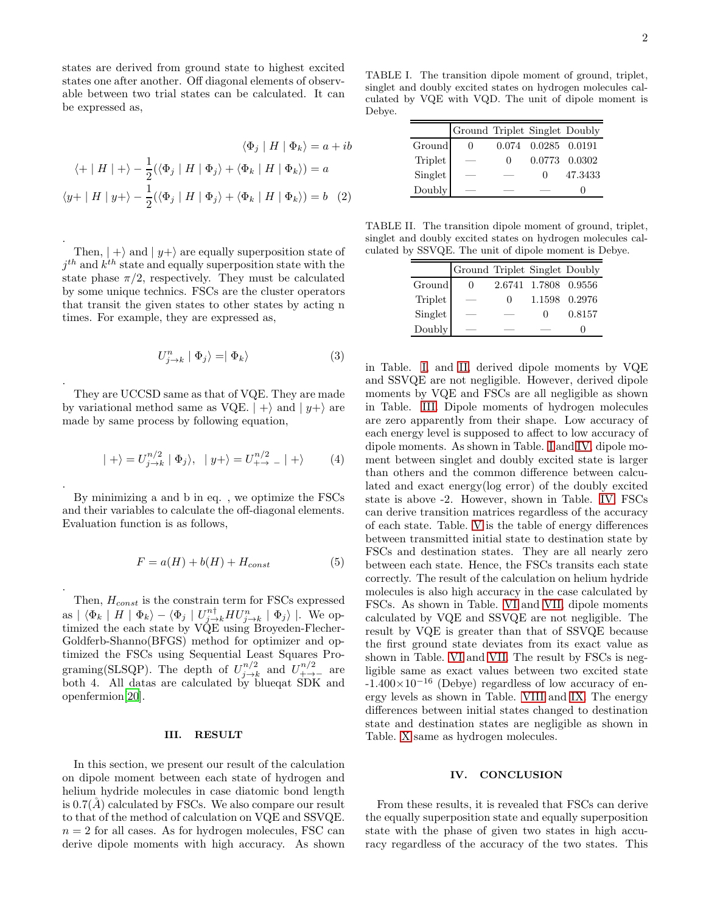states are derived from ground state to highest excited states one after another. Off diagonal elements of observable between two trial states can be calculated. It can be expressed as,

$$
\langle \Phi_j | H | \Phi_k \rangle = a + ib
$$
  

$$
\langle + | H | + \rangle - \frac{1}{2} (\langle \Phi_j | H | \Phi_j \rangle + \langle \Phi_k | H | \Phi_k \rangle) = a
$$
  

$$
\langle y + | H | y + \rangle - \frac{1}{2} (\langle \Phi_j | H | \Phi_j \rangle + \langle \Phi_k | H | \Phi_k \rangle) = b \quad (2)
$$

. Then,  $| + \rangle$  and  $| y + \rangle$  are equally superposition state of  $j^{th}$  and  $k^{th}$  state and equally superposition state with the state phase  $\pi/2$ , respectively. They must be calculated by some unique technics. FSCs are the cluster operators that transit the given states to other states by acting n times. For example, they are expressed as,

$$
U_{j\to k}^n \mid \Phi_j \rangle = \mid \Phi_k \rangle \tag{3}
$$

They are UCCSD same as that of VQE. They are made by variational method same as VQE.  $| + \rangle$  and  $| y+ \rangle$  are made by same process by following equation,

.

.

$$
|+\rangle = U_{j\rightarrow k}^{n/2} | \Phi_j \rangle, | y+\rangle = U_{++}^{n/2} | + \rangle \qquad (4)
$$

By minimizing a and b in eq. , we optimize the FSCs and their variables to calculate the off-diagonal elements. Evaluation function is as follows,

$$
F = a(H) + b(H) + H_{const}
$$
\n<sup>(5)</sup>

. Then,  $H_{const}$  is the constrain term for FSCs expressed as  $| \langle \Phi_k | H | \Phi_k \rangle - \langle \Phi_j | U_{j \to k}^{n \dagger} H U_{j \to k}^n | \Phi_j \rangle |$ . We optimized the each state by VQE using Broyeden-Flecher-Goldferb-Shanno(BFGS) method for optimizer and optimized the FSCs using Sequential Least Squares Programing(SLSQP). The depth of  $U_{i\rightarrow l}^{n/2}$  $\frac{m/2}{j\rightarrow k}$  and  $U^{n/2}_{+\rightarrow -}$  are both 4. All datas are calculated by blueqat SDK and openfermion[\[20\]](#page-2-16).

### <span id="page-1-0"></span>III. RESULT

In this section, we present our result of the calculation on dipole moment between each state of hydrogen and helium hydride molecules in case diatomic bond length is  $0.7(\AA)$  calculated by FSCs. We also compare our result to that of the method of calculation on VQE and SSVQE.  $n = 2$  for all cases. As for hydrogen molecules, FSC can derive dipole moments with high accuracy. As shown

TABLE I. The transition dipole moment of ground, triplet, singlet and doubly excited states on hydrogen molecules calculated by VQE with VQD. The unit of dipole moment is Debye.

<span id="page-1-2"></span>

|                              | Ground Triplet Singlet Doubly |        |                     |               |
|------------------------------|-------------------------------|--------|---------------------|---------------|
| Ground                       | $\left( \right)$              |        | 0.074 0.0285 0.0191 |               |
| Triplet<br>Singlet<br>Doubly |                               | $\cup$ |                     | 0.0773 0.0302 |
|                              |                               |        | $\Omega$            | 47.3433       |
|                              |                               |        |                     |               |

TABLE II. The transition dipole moment of ground, triplet, singlet and doubly excited states on hydrogen molecules calculated by SSVQE. The unit of dipole moment is Debye.

<span id="page-1-3"></span>

|                              | Ground Triplet Singlet Doubly |              |                      |               |
|------------------------------|-------------------------------|--------------|----------------------|---------------|
| Ground                       |                               |              | 2.6741 1.7808 0.9556 |               |
| Triplet<br>Singlet<br>Doubly |                               | $\mathbf{U}$ |                      | 1.1598 0.2976 |
|                              |                               |              | $^{\circ}$           | 0.8157        |
|                              |                               |              |                      |               |

in Table. [I,](#page-1-2) and [II,](#page-1-3) derived dipole moments by VQE and SSVQE are not negligible. However, derived dipole moments by VQE and FSCs are all negligible as shown in Table. [III.](#page-2-17) Dipole moments of hydrogen molecules are zero apparently from their shape. Low accuracy of each energy level is supposed to affect to low accuracy of dipole moments. As shown in Table. [I](#page-1-2) and [IV,](#page-2-18) dipole moment between singlet and doubly excited state is larger than others and the common difference between calculated and exact energy(log error) of the doubly excited state is above -2. However, shown in Table. [IV,](#page-2-18) FSCs can derive transition matrices regardless of the accuracy of each state. Table. [V](#page-3-0) is the table of energy differences between transmitted initial state to destination state by FSCs and destination states. They are all nearly zero between each state. Hence, the FSCs transits each state correctly. The result of the calculation on helium hydride molecules is also high accuracy in the case calculated by FSCs. As shown in Table. [VI](#page-3-1) and [VII,](#page-3-2) dipole moments calculated by VQE and SSVQE are not negligible. The result by VQE is greater than that of SSVQE because the first ground state deviates from its exact value as shown in Table. [VI](#page-3-1) and [VII.](#page-3-2) The result by FSCs is negligible same as exact values between two excited state  $-1.400\times10^{-16}$  (Debye) regardless of low accuracy of energy levels as shown in Table. [VIII](#page-3-3) and [IX.](#page-3-4) The energy differences between initial states changed to destination state and destination states are negligible as shown in Table. [X](#page-3-5) same as hydrogen molecules.

## <span id="page-1-1"></span>IV. CONCLUSION

From these results, it is revealed that FSCs can derive the equally superposition state and equally superposition state with the phase of given two states in high accuracy regardless of the accuracy of the two states. This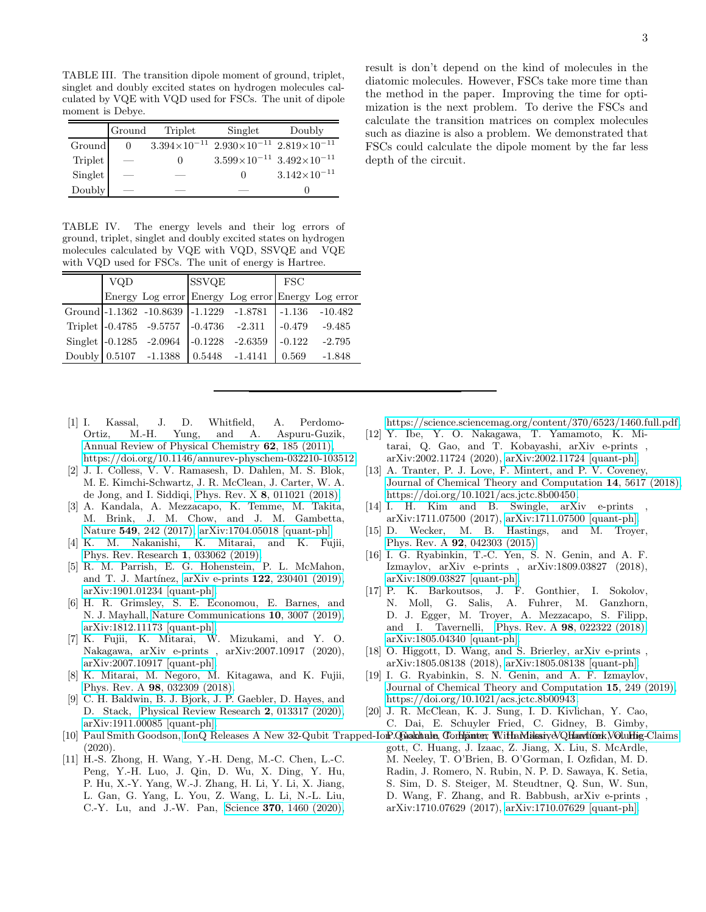<span id="page-2-17"></span>TABLE III. The transition dipole moment of ground, triplet, singlet and doubly excited states on hydrogen molecules calculated by VQE with VQD used for FSCs. The unit of dipole moment is Debye.

|                | Ground | Triplet | Singlet                                                           | Doubly                |
|----------------|--------|---------|-------------------------------------------------------------------|-----------------------|
| Ground         |        |         | $3.394\times10^{-11}$ $2.930\times10^{-11}$ $2.819\times10^{-11}$ |                       |
| <b>Triplet</b> |        |         | $3.599\times10^{-11}$ $3.492\times10^{-11}$                       |                       |
| Singlet        |        |         | $\Omega$                                                          | $3.142\times10^{-11}$ |
| Doubly         |        |         |                                                                   |                       |

<span id="page-2-18"></span>TABLE IV. The energy levels and their log errors of ground, triplet, singlet and doubly excited states on hydrogen molecules calculated by VQE with VQD, SSVQE and VQE with VQD used for FSCs. The unit of energy is Hartree.

| <b>VQD</b> |                                         | <b>SSVQE</b> |                                                        | $\Gamma$ SC |                 |
|------------|-----------------------------------------|--------------|--------------------------------------------------------|-------------|-----------------|
|            |                                         |              | Energy Log error Energy Log error Energy Log error     |             |                 |
|            |                                         |              | Ground -1.1362 -10.8639 -1.1229 -1.8781 -1.136 -10.482 |             |                 |
|            | Triplet -0.4785 -9.5757 -0.4736 -2.311  |              |                                                        |             | $-0.479 -9.485$ |
|            | Singlet -0.1285 -2.0964 -0.1228 -2.6359 |              |                                                        | $-0.122$    | $-2.795$        |
|            | Doubly 0.5107 -1.1388 0.5448 -1.4141    |              |                                                        | 0.569       | $-1.848$        |

- [1] I. Kassal, J. D. Whitfield, A. Perdomo-Ortiz, M.-H. Yung, and A. Aspuru-Guzik, [Annual Review of Physical Chemistry](https://doi.org/10.1146/annurev-physchem-032210-103512) 62, 185 (2011), [https://doi.org/10.1146/annurev-physchem-032210-103512.](https://arxiv.org/abs/https://doi.org/10.1146/annurev-physchem-032210-103512)
- <span id="page-2-0"></span>[2] J. I. Colless, V. V. Ramasesh, D. Dahlen, M. S. Blok, M. E. Kimchi-Schwartz, J. R. McClean, J. Carter, W. A. de Jong, and I. Siddiqi, Phys. Rev. X 8[, 011021 \(2018\).](https://doi.org/10.1103/PhysRevX.8.011021)
- <span id="page-2-1"></span>[3] A. Kandala, A. Mezzacapo, K. Temme, M. Takita, M. Brink, J. M. Chow, and J. M. Gambetta, Nature 549[, 242 \(2017\),](https://doi.org/10.1038/nature23879) [arXiv:1704.05018 \[quant-ph\].](https://arxiv.org/abs/1704.05018)
- <span id="page-2-2"></span>[4] K. M. Nakanishi, K. Mitarai, and K. Fujii, [Phys. Rev. Research](https://doi.org/10.1103/PhysRevResearch.1.033062) 1, 033062 (2019).
- <span id="page-2-3"></span>[5] R. M. Parrish, E. G. Hohenstein, P. L. McMahon, and T. J. Martínez, arXiv e-prints 122[, 230401 \(2019\),](https://doi.org/10.1103/PhysRevLett.122.230401) [arXiv:1901.01234 \[quant-ph\].](https://arxiv.org/abs/1901.01234)
- <span id="page-2-4"></span>[6] H. R. Grimsley, S. E. Economou, E. Barnes, and N. J. Mayhall, [Nature Communications](https://doi.org/10.1038/s41467-019-10988-2) 10, 3007 (2019), [arXiv:1812.11173 \[quant-ph\].](https://arxiv.org/abs/1812.11173)
- <span id="page-2-5"></span>[7] K. Fujii, K. Mitarai, W. Mizukami, and Y. O. Nakagawa, arXiv e-prints , arXiv:2007.10917 (2020), [arXiv:2007.10917 \[quant-ph\].](https://arxiv.org/abs/2007.10917)
- <span id="page-2-6"></span>[8] K. Mitarai, M. Negoro, M. Kitagawa, and K. Fujii, Phys. Rev. A 98[, 032309 \(2018\).](https://doi.org/10.1103/PhysRevA.98.032309)
- <span id="page-2-7"></span>[9] C. H. Baldwin, B. J. Bjork, J. P. Gaebler, D. Hayes, and D. Stack, [Physical Review Research](https://doi.org/10.1103/PhysRevResearch.2.013317) 2, 013317 (2020), [arXiv:1911.00085 \[quant-ph\].](https://arxiv.org/abs/1911.00085)
- (2020).
- <span id="page-2-9"></span>[11] H.-S. Zhong, H. Wang, Y.-H. Deng, M.-C. Chen, L.-C. Peng, Y.-H. Luo, J. Qin, D. Wu, X. Ding, Y. Hu, P. Hu, X.-Y. Yang, W.-J. Zhang, H. Li, Y. Li, X. Jiang, L. Gan, G. Yang, L. You, Z. Wang, L. Li, N.-L. Liu, C.-Y. Lu, and J.-W. Pan, Science 370[, 1460 \(2020\),](https://doi.org/10.1126/science.abe8770)

depth of the circuit.

[https://science.sciencemag.org/content/370/6523/1460.full.pdf.](https://arxiv.org/abs/https://science.sciencemag.org/content/370/6523/1460.full.pdf)

- <span id="page-2-10"></span>[12] Y. Ibe, Y. O. Nakagawa, T. Yamamoto, K. Mitarai, Q. Gao, and T. Kobayashi, arXiv e-prints , arXiv:2002.11724 (2020), [arXiv:2002.11724 \[quant-ph\].](https://arxiv.org/abs/2002.11724)
- [13] A. Tranter, P. J. Love, F. Mintert, and P. V. Coveney, [Journal of Chemical Theory and Computation](https://doi.org/10.1021/acs.jctc.8b00450) 14, 5617 (2018), [https://doi.org/10.1021/acs.jctc.8b00450.](https://arxiv.org/abs/https://doi.org/10.1021/acs.jctc.8b00450)
- <span id="page-2-11"></span>[14] I. H. Kim and B. Swingle, arXiv e-prints arXiv:1711.07500 (2017), [arXiv:1711.07500 \[quant-ph\].](https://arxiv.org/abs/1711.07500)
- <span id="page-2-12"></span>[15] D. Wecker, M. B. Hastings, and M. Troyer, Phys. Rev. A 92[, 042303 \(2015\).](https://doi.org/10.1103/PhysRevA.92.042303)
- <span id="page-2-13"></span>[16] I. G. Ryabinkin, T.-C. Yen, S. N. Genin, and A. F. Izmaylov, arXiv e-prints , arXiv:1809.03827 (2018), [arXiv:1809.03827 \[quant-ph\].](https://arxiv.org/abs/1809.03827)
- <span id="page-2-14"></span>[17] P. K. Barkoutsos, J. F. Gonthier, I. Sokolov, N. Moll, G. Salis, A. Fuhrer, M. Ganzhorn, D. J. Egger, M. Troyer, A. Mezzacapo, S. Filipp, and I. Tavernelli, Phys. Rev. A 98[, 022322 \(2018\),](https://doi.org/10.1103/PhysRevA.98.022322) [arXiv:1805.04340 \[quant-ph\].](https://arxiv.org/abs/1805.04340)
- <span id="page-2-15"></span>[18] O. Higgott, D. Wang, and S. Brierley, arXiv e-prints, arXiv:1805.08138 (2018), [arXiv:1805.08138 \[quant-ph\].](https://arxiv.org/abs/1805.08138)
- [19] I. G. Ryabinkin, S. N. Genin, and A. F. Izmaylov, [Journal of Chemical Theory and Computation](https://doi.org/10.1021/acs.jctc.8b00943) 15, 249 (2019), [https://doi.org/10.1021/acs.jctc.8b00943.](https://arxiv.org/abs/https://doi.org/10.1021/acs.jctc.8b00943)
- <span id="page-2-16"></span>[20] J. R. McClean, K. J. Sung, I. D. Kivlichan, Y. Cao, C. Dai, E. Schuyler Fried, C. Gidney, B. Gimby,
- <span id="page-2-8"></span>[10] Paul Smith Goodson, IonQ Releases A New 32-Qubit Trapped-IomP.**Quakhale, Conligater, With MaksiyeVQhlarvlíče**k,V**OluHig-**Claims gott, C. Huang, J. Izaac, Z. Jiang, X. Liu, S. McArdle, M. Neeley, T. O'Brien, B. O'Gorman, I. Ozfidan, M. D. Radin, J. Romero, N. Rubin, N. P. D. Sawaya, K. Setia, S. Sim, D. S. Steiger, M. Steudtner, Q. Sun, W. Sun, D. Wang, F. Zhang, and R. Babbush, arXiv e-prints , arXiv:1710.07629 (2017), [arXiv:1710.07629 \[quant-ph\].](https://arxiv.org/abs/1710.07629)